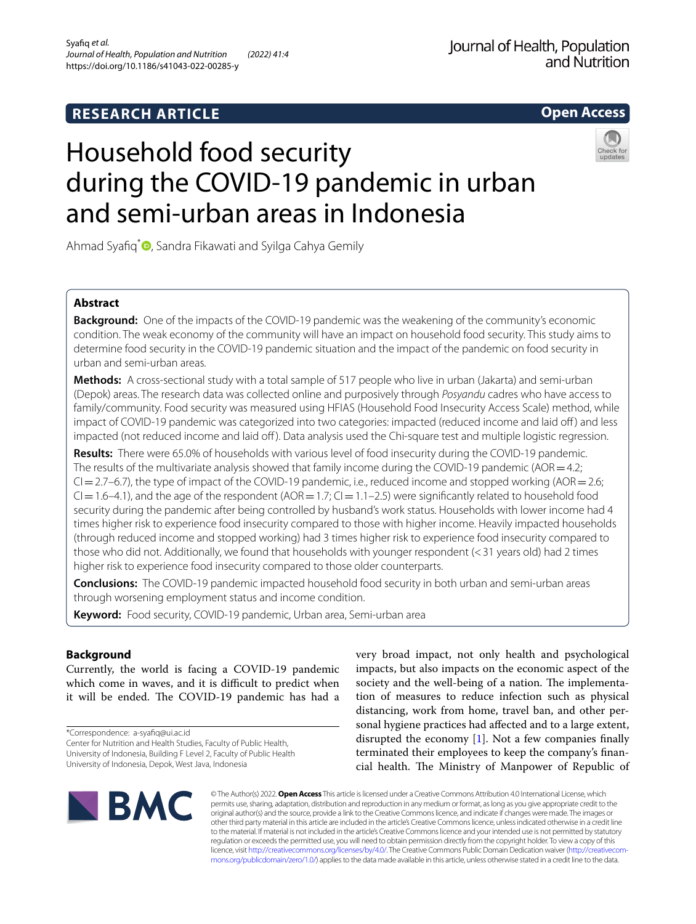# **RESEARCH ARTICLE**

**Open Access**

# Household food security during the COVID-19 pandemic in urban and semi-urban areas in Indonesia



Ahmad Syafiq<sup>[\\*](http://orcid.org/0000-0003-1874-4633)</sup> , Sandra Fikawati and Syilga Cahya Gemily

# **Abstract**

**Background:** One of the impacts of the COVID-19 pandemic was the weakening of the community's economic condition. The weak economy of the community will have an impact on household food security. This study aims to determine food security in the COVID-19 pandemic situation and the impact of the pandemic on food security in urban and semi-urban areas.

**Methods:** A cross-sectional study with a total sample of 517 people who live in urban (Jakarta) and semi-urban (Depok) areas. The research data was collected online and purposively through *Posyandu* cadres who have access to family/community. Food security was measured using HFIAS (Household Food Insecurity Access Scale) method, while impact of COVID-19 pandemic was categorized into two categories: impacted (reduced income and laid off) and less impacted (not reduced income and laid off). Data analysis used the Chi-square test and multiple logistic regression.

**Results:** There were 65.0% of households with various level of food insecurity during the COVID-19 pandemic. The results of the multivariate analysis showed that family income during the COVID-19 pandemic ( $AOR = 4.2$ ;  $Cl = 2.7$ –6.7), the type of impact of the COVID-19 pandemic, i.e., reduced income and stopped working (AOR = 2.6;  $Cl = 1.6-4.1$ ), and the age of the respondent (AOR =  $1.7$ ; CI =  $1.1-2.5$ ) were significantly related to household food security during the pandemic after being controlled by husband's work status. Households with lower income had 4 times higher risk to experience food insecurity compared to those with higher income. Heavily impacted households (through reduced income and stopped working) had 3 times higher risk to experience food insecurity compared to those who did not. Additionally, we found that households with younger respondent (<31 years old) had 2 times higher risk to experience food insecurity compared to those older counterparts.

**Conclusions:** The COVID-19 pandemic impacted household food security in both urban and semi-urban areas through worsening employment status and income condition.

**Keyword:** Food security, COVID-19 pandemic, Urban area, Semi-urban area

# **Background**

Currently, the world is facing a COVID-19 pandemic which come in waves, and it is difficult to predict when it will be ended. The COVID-19 pandemic has had a

\*Correspondence: a-syafq@ui.ac.id

Center for Nutrition and Health Studies, Faculty of Public Health, University of Indonesia, Building F Level 2, Faculty of Public Health

University of Indonesia, Depok, West Java, Indonesia

very broad impact, not only health and psychological impacts, but also impacts on the economic aspect of the society and the well-being of a nation. The implementation of measures to reduce infection such as physical distancing, work from home, travel ban, and other personal hygiene practices had afected and to a large extent, disrupted the economy [[1\]](#page-6-0). Not a few companies fnally terminated their employees to keep the company's fnancial health. The Ministry of Manpower of Republic of



© The Author(s) 2022. **Open Access** This article is licensed under a Creative Commons Attribution 4.0 International License, which permits use, sharing, adaptation, distribution and reproduction in any medium or format, as long as you give appropriate credit to the original author(s) and the source, provide a link to the Creative Commons licence, and indicate if changes were made. The images or other third party material in this article are included in the article's Creative Commons licence, unless indicated otherwise in a credit line to the material. If material is not included in the article's Creative Commons licence and your intended use is not permitted by statutory regulation or exceeds the permitted use, you will need to obtain permission directly from the copyright holder. To view a copy of this licence, visit [http://creativecommons.org/licenses/by/4.0/.](http://creativecommons.org/licenses/by/4.0/) The Creative Commons Public Domain Dedication waiver ([http://creativecom](http://creativecommons.org/publicdomain/zero/1.0/)[mons.org/publicdomain/zero/1.0/\)](http://creativecommons.org/publicdomain/zero/1.0/) applies to the data made available in this article, unless otherwise stated in a credit line to the data.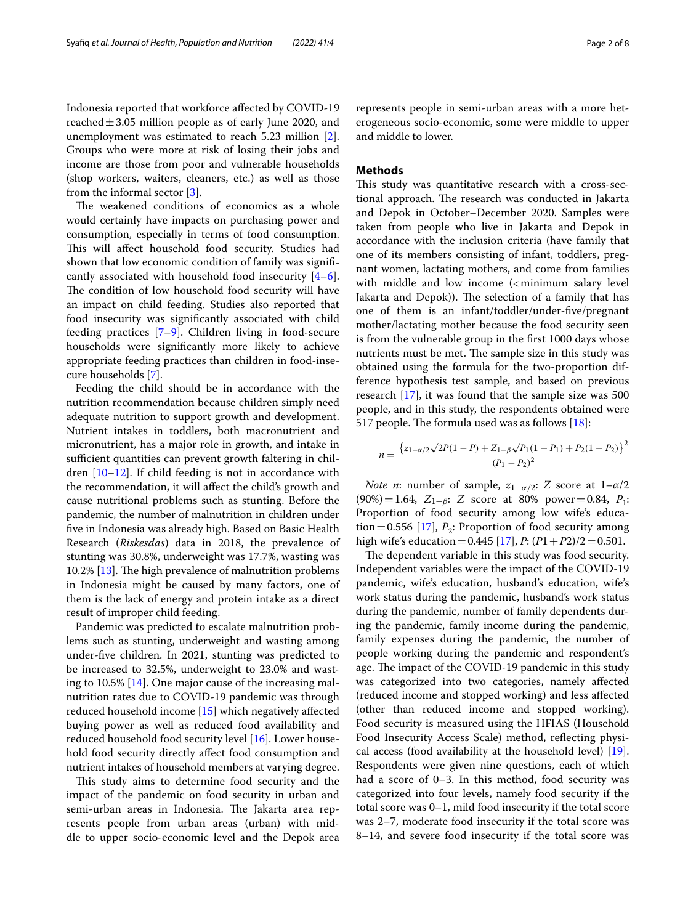Indonesia reported that workforce afected by COVID-19 reached $\pm$ 3.05 million people as of early June 2020, and unemployment was estimated to reach 5.23 million [\[2](#page-6-1)]. Groups who were more at risk of losing their jobs and income are those from poor and vulnerable households (shop workers, waiters, cleaners, etc.) as well as those from the informal sector [\[3](#page-6-2)].

The weakened conditions of economics as a whole would certainly have impacts on purchasing power and consumption, especially in terms of food consumption. This will affect household food security. Studies had shown that low economic condition of family was signifcantly associated with household food insecurity [\[4](#page-6-3)[–6](#page-6-4)]. The condition of low household food security will have an impact on child feeding. Studies also reported that food insecurity was signifcantly associated with child feeding practices [[7](#page-6-5)[–9](#page-6-6)]. Children living in food-secure households were signifcantly more likely to achieve appropriate feeding practices than children in food-insecure households [[7\]](#page-6-5).

Feeding the child should be in accordance with the nutrition recommendation because children simply need adequate nutrition to support growth and development. Nutrient intakes in toddlers, both macronutrient and micronutrient, has a major role in growth, and intake in sufficient quantities can prevent growth faltering in children [\[10](#page-6-7)[–12\]](#page-6-8). If child feeding is not in accordance with the recommendation, it will afect the child's growth and cause nutritional problems such as stunting. Before the pandemic, the number of malnutrition in children under fve in Indonesia was already high. Based on Basic Health Research (*Riskesdas*) data in 2018, the prevalence of stunting was 30.8%, underweight was 17.7%, wasting was 10.2%  $[13]$  $[13]$ . The high prevalence of malnutrition problems in Indonesia might be caused by many factors, one of them is the lack of energy and protein intake as a direct result of improper child feeding.

Pandemic was predicted to escalate malnutrition problems such as stunting, underweight and wasting among under-fve children. In 2021, stunting was predicted to be increased to 32.5%, underweight to 23.0% and wasting to 10.5% [\[14\]](#page-6-10). One major cause of the increasing malnutrition rates due to COVID-19 pandemic was through reduced household income [[15\]](#page-6-11) which negatively afected buying power as well as reduced food availability and reduced household food security level [[16\]](#page-7-0). Lower household food security directly afect food consumption and nutrient intakes of household members at varying degree.

This study aims to determine food security and the impact of the pandemic on food security in urban and semi-urban areas in Indonesia. The Jakarta area represents people from urban areas (urban) with middle to upper socio-economic level and the Depok area represents people in semi-urban areas with a more heterogeneous socio-economic, some were middle to upper and middle to lower.

## **Methods**

This study was quantitative research with a cross-sectional approach. The research was conducted in Jakarta and Depok in October–December 2020. Samples were taken from people who live in Jakarta and Depok in accordance with the inclusion criteria (have family that one of its members consisting of infant, toddlers, pregnant women, lactating mothers, and come from families with middle and low income  $\left($  < minimum salary level Jakarta and Depok)). The selection of a family that has one of them is an infant/toddler/under-fve/pregnant mother/lactating mother because the food security seen is from the vulnerable group in the frst 1000 days whose nutrients must be met. The sample size in this study was obtained using the formula for the two-proportion difference hypothesis test sample, and based on previous research [[17\]](#page-7-1), it was found that the sample size was 500 people, and in this study, the respondents obtained were 517 people. The formula used was as follows  $[18]$  $[18]$ :

$$
n = \frac{\left\{z_{1-\alpha/2}\sqrt{2P(1-P)} + Z_{1-\beta}\sqrt{P_1(1-P_1) + P_2(1-P_2)}\right\}^2}{(P_1 - P_2)^2}
$$

*Note n*: number of sample,  $z_{1-\alpha/2}$ : *Z* score at  $1-\alpha/2$ (90%)=1.64, Z1−β: *Z* score at 80% power=0.84, *P*1: Proportion of food security among low wife's educa-tion=0.556 [[17\]](#page-7-1),  $P_2$ : Proportion of food security among high wife's education =  $0.445$  [[17\]](#page-7-1), *P*:  $(P1 + P2)/2 = 0.501$ .

The dependent variable in this study was food security. Independent variables were the impact of the COVID-19 pandemic, wife's education, husband's education, wife's work status during the pandemic, husband's work status during the pandemic, number of family dependents during the pandemic, family income during the pandemic, family expenses during the pandemic, the number of people working during the pandemic and respondent's age. The impact of the COVID-19 pandemic in this study was categorized into two categories, namely afected (reduced income and stopped working) and less afected (other than reduced income and stopped working). Food security is measured using the HFIAS (Household Food Insecurity Access Scale) method, refecting physical access (food availability at the household level) [\[19](#page-7-3)]. Respondents were given nine questions, each of which had a score of 0–3. In this method, food security was categorized into four levels, namely food security if the total score was 0–1, mild food insecurity if the total score was 2–7, moderate food insecurity if the total score was 8–14, and severe food insecurity if the total score was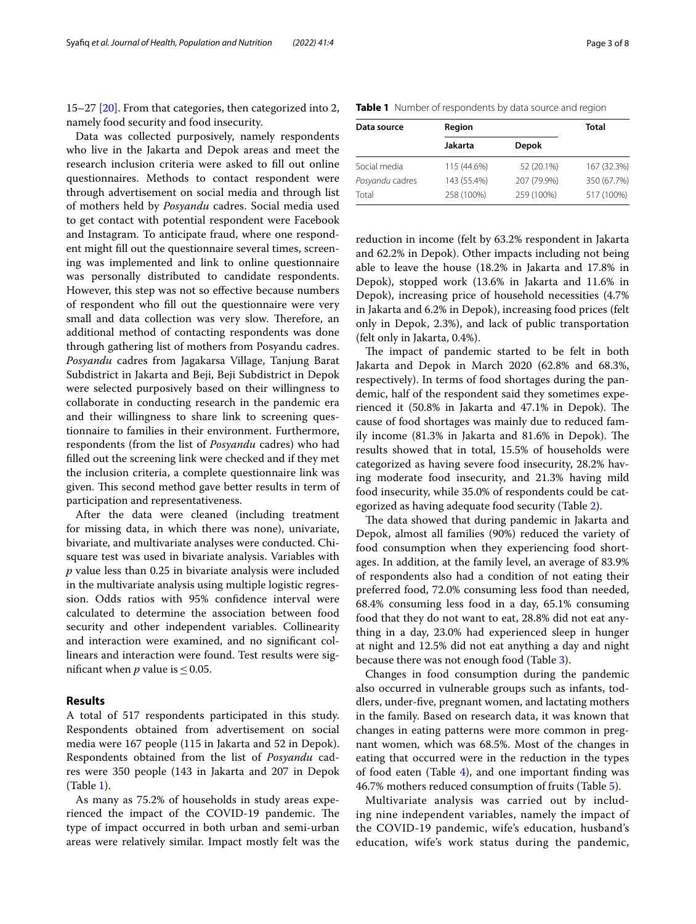15–27 [[20\]](#page-7-4). From that categories, then categorized into 2, namely food security and food insecurity.

Data was collected purposively, namely respondents who live in the Jakarta and Depok areas and meet the research inclusion criteria were asked to fll out online questionnaires. Methods to contact respondent were through advertisement on social media and through list of mothers held by *Posyandu* cadres. Social media used to get contact with potential respondent were Facebook and Instagram. To anticipate fraud, where one respondent might fll out the questionnaire several times, screening was implemented and link to online questionnaire was personally distributed to candidate respondents. However, this step was not so efective because numbers of respondent who fll out the questionnaire were very small and data collection was very slow. Therefore, an additional method of contacting respondents was done through gathering list of mothers from Posyandu cadres. *Posyandu* cadres from Jagakarsa Village, Tanjung Barat Subdistrict in Jakarta and Beji, Beji Subdistrict in Depok were selected purposively based on their willingness to collaborate in conducting research in the pandemic era and their willingness to share link to screening questionnaire to families in their environment. Furthermore, respondents (from the list of *Posyandu* cadres) who had flled out the screening link were checked and if they met the inclusion criteria, a complete questionnaire link was given. This second method gave better results in term of participation and representativeness.

After the data were cleaned (including treatment for missing data, in which there was none), univariate, bivariate, and multivariate analyses were conducted. Chisquare test was used in bivariate analysis. Variables with *p* value less than 0.25 in bivariate analysis were included in the multivariate analysis using multiple logistic regression. Odds ratios with 95% confdence interval were calculated to determine the association between food security and other independent variables. Collinearity and interaction were examined, and no signifcant collinears and interaction were found. Test results were significant when *p* value is  $\leq$  0.05.

#### **Results**

A total of 517 respondents participated in this study. Respondents obtained from advertisement on social media were 167 people (115 in Jakarta and 52 in Depok). Respondents obtained from the list of *Posyandu* cadres were 350 people (143 in Jakarta and 207 in Depok (Table [1](#page-2-0)).

As many as 75.2% of households in study areas experienced the impact of the COVID-19 pandemic. The type of impact occurred in both urban and semi-urban areas were relatively similar. Impact mostly felt was the

<span id="page-2-0"></span>

|  |  | Table 1 Number of respondents by data source and region |  |  |  |
|--|--|---------------------------------------------------------|--|--|--|
|--|--|---------------------------------------------------------|--|--|--|

| Data source     | Region      | <b>Total</b> |             |
|-----------------|-------------|--------------|-------------|
|                 | Jakarta     | Depok        |             |
| Social media    | 115 (44.6%) | 52 (20.1%)   | 167 (32.3%) |
| Posyandu cadres | 143 (55.4%) | 207 (79.9%)  | 350 (67.7%) |
| Total           | 258 (100%)  | 259 (100%)   | 517 (100%)  |

reduction in income (felt by 63.2% respondent in Jakarta and 62.2% in Depok). Other impacts including not being able to leave the house (18.2% in Jakarta and 17.8% in Depok), stopped work (13.6% in Jakarta and 11.6% in Depok), increasing price of household necessities (4.7% in Jakarta and 6.2% in Depok), increasing food prices (felt only in Depok, 2.3%), and lack of public transportation (felt only in Jakarta, 0.4%).

The impact of pandemic started to be felt in both Jakarta and Depok in March 2020 (62.8% and 68.3%, respectively). In terms of food shortages during the pandemic, half of the respondent said they sometimes experienced it  $(50.8\%$  in Jakarta and  $47.1\%$  in Depok). The cause of food shortages was mainly due to reduced family income  $(81.3\%$  in Jakarta and  $81.6\%$  in Depok). The results showed that in total, 15.5% of households were categorized as having severe food insecurity, 28.2% having moderate food insecurity, and 21.3% having mild food insecurity, while 35.0% of respondents could be categorized as having adequate food security (Table [2](#page-3-0)).

The data showed that during pandemic in Jakarta and Depok, almost all families (90%) reduced the variety of food consumption when they experiencing food shortages. In addition, at the family level, an average of 83.9% of respondents also had a condition of not eating their preferred food, 72.0% consuming less food than needed, 68.4% consuming less food in a day, 65.1% consuming food that they do not want to eat, 28.8% did not eat anything in a day, 23.0% had experienced sleep in hunger at night and 12.5% did not eat anything a day and night because there was not enough food (Table [3](#page-4-0)).

Changes in food consumption during the pandemic also occurred in vulnerable groups such as infants, toddlers, under-fve, pregnant women, and lactating mothers in the family. Based on research data, it was known that changes in eating patterns were more common in pregnant women, which was 68.5%. Most of the changes in eating that occurred were in the reduction in the types of food eaten (Table  $4$ ), and one important finding was 46.7% mothers reduced consumption of fruits (Table [5](#page-4-2)).

Multivariate analysis was carried out by including nine independent variables, namely the impact of the COVID-19 pandemic, wife's education, husband's education, wife's work status during the pandemic,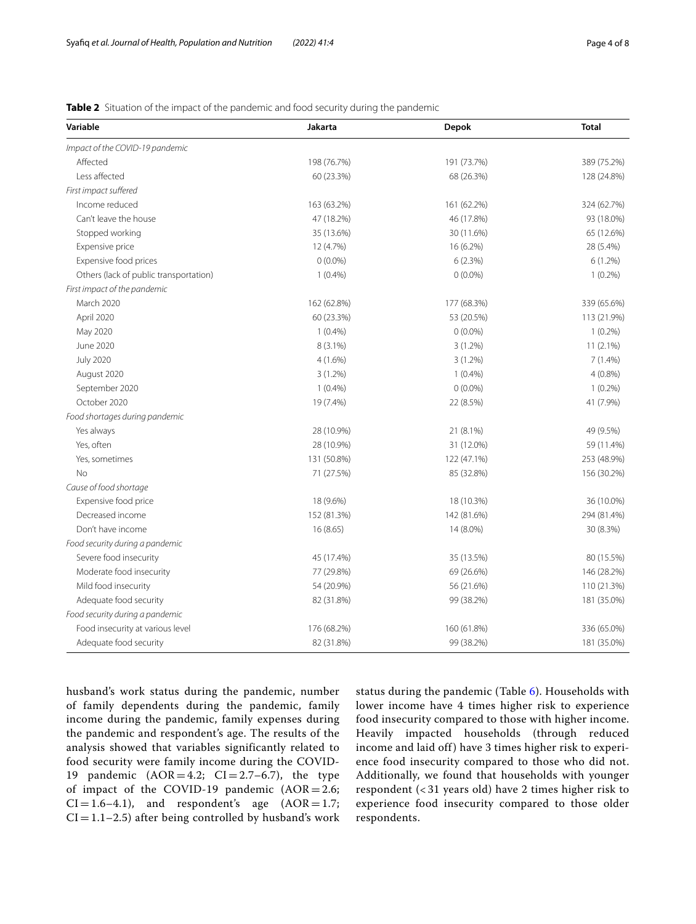<span id="page-3-0"></span>

| Table 2 Situation of the impact of the pandemic and food security during the pandemic |  |  |  |
|---------------------------------------------------------------------------------------|--|--|--|
|---------------------------------------------------------------------------------------|--|--|--|

| Variable                               | Jakarta     | <b>Depok</b> | <b>Total</b> |
|----------------------------------------|-------------|--------------|--------------|
| Impact of the COVID-19 pandemic        |             |              |              |
| Affected                               | 198 (76.7%) | 191 (73.7%)  | 389 (75.2%)  |
| Less affected                          | 60 (23.3%)  | 68 (26.3%)   | 128 (24.8%)  |
| First impact suffered                  |             |              |              |
| Income reduced                         | 163 (63.2%) | 161 (62.2%)  | 324 (62.7%)  |
| Can't leave the house                  | 47 (18.2%)  | 46 (17.8%)   | 93 (18.0%)   |
| Stopped working                        | 35 (13.6%)  | 30 (11.6%)   | 65 (12.6%)   |
| Expensive price                        | 12 (4.7%)   | 16 (6.2%)    | 28 (5.4%)    |
| Expensive food prices                  | $0(0.0\%)$  | 6(2.3%)      | $6(1.2\%)$   |
| Others (lack of public transportation) | $1(0.4\%)$  | $0(0.0\%)$   | $1(0.2\%)$   |
| First impact of the pandemic           |             |              |              |
| <b>March 2020</b>                      | 162 (62.8%) | 177 (68.3%)  | 339 (65.6%)  |
| April 2020                             | 60 (23.3%)  | 53 (20.5%)   | 113 (21.9%)  |
| May 2020                               | $1(0.4\%)$  | $0(0.0\%)$   | $1(0.2\%)$   |
| June 2020                              | $8(3.1\%)$  | $3(1.2\%)$   | $11(2.1\%)$  |
| <b>July 2020</b>                       | $4(1.6\%)$  | 3(1.2%)      | 7 (1.4%)     |
| August 2020                            | $3(1.2\%)$  | $1(0.4\%)$   | $4(0.8\%)$   |
| September 2020                         | $1(0.4\%)$  | $0(0.0\%)$   | $1(0.2\%)$   |
| October 2020                           | 19 (7.4%)   | 22 (8.5%)    | 41 (7.9%)    |
| Food shortages during pandemic         |             |              |              |
| Yes always                             | 28 (10.9%)  | 21 (8.1%)    | 49 (9.5%)    |
| Yes, often                             | 28 (10.9%)  | 31 (12.0%)   | 59 (11.4%)   |
| Yes, sometimes                         | 131 (50.8%) | 122 (47.1%)  | 253 (48.9%)  |
| No                                     | 71 (27.5%)  | 85 (32.8%)   | 156 (30.2%)  |
| Cause of food shortage                 |             |              |              |
| Expensive food price                   | 18 (9.6%)   | 18 (10.3%)   | 36 (10.0%)   |
| Decreased income                       | 152 (81.3%) | 142 (81.6%)  | 294 (81.4%)  |
| Don't have income                      | 16 (8.65)   | 14 (8.0%)    | 30 (8.3%)    |
| Food security during a pandemic        |             |              |              |
| Severe food insecurity                 | 45 (17.4%)  | 35 (13.5%)   | 80 (15.5%)   |
| Moderate food insecurity               | 77 (29.8%)  | 69 (26.6%)   | 146 (28.2%)  |
| Mild food insecurity                   | 54 (20.9%)  | 56 (21.6%)   | 110 (21.3%)  |
| Adequate food security                 | 82 (31.8%)  | 99 (38.2%)   | 181 (35.0%)  |
| Food security during a pandemic        |             |              |              |
| Food insecurity at various level       | 176 (68.2%) | 160 (61.8%)  | 336 (65.0%)  |
| Adequate food security                 | 82 (31.8%)  | 99 (38.2%)   | 181 (35.0%)  |

husband's work status during the pandemic, number of family dependents during the pandemic, family income during the pandemic, family expenses during the pandemic and respondent's age. The results of the analysis showed that variables significantly related to food security were family income during the COVID-19 pandemic  $(AOR = 4.2; CI = 2.7-6.7)$ , the type of impact of the COVID-19 pandemic  $(AOR = 2.6;$  $CI = 1.6-4.1$ , and respondent's age  $(AOR = 1.7;$  $CI = 1.1 - 2.5$ ) after being controlled by husband's work status during the pandemic (Table  $6$ ). Households with lower income have 4 times higher risk to experience food insecurity compared to those with higher income. Heavily impacted households (through reduced income and laid off) have 3 times higher risk to experience food insecurity compared to those who did not. Additionally, we found that households with younger respondent (< 31 years old) have 2 times higher risk to experience food insecurity compared to those older respondents.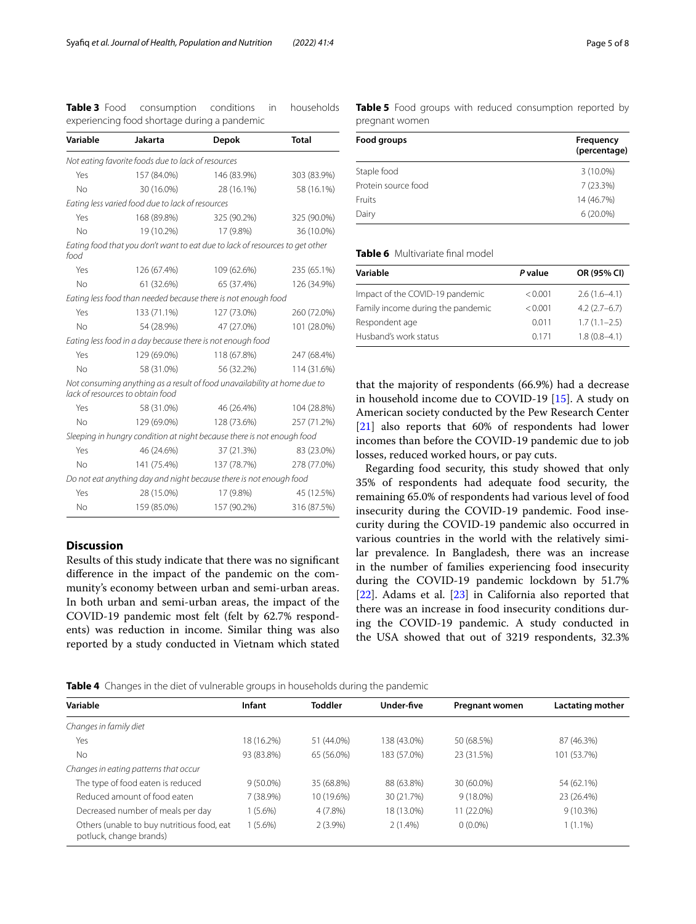<span id="page-4-0"></span>**Table 3** Food consumption conditions in households experiencing food shortage during a pandemic

| Variable                                                               | Jakarta                                                    | <b>Depok</b>                                                                 | <b>Total</b> |  |  |
|------------------------------------------------------------------------|------------------------------------------------------------|------------------------------------------------------------------------------|--------------|--|--|
|                                                                        | Not eating favorite foods due to lack of resources         |                                                                              |              |  |  |
| Yes                                                                    | 157 (84.0%)                                                | 146 (83.9%)                                                                  | 303 (83.9%)  |  |  |
| <b>No</b>                                                              | 30 (16.0%)                                                 | 28 (16.1%)                                                                   | 58 (16.1%)   |  |  |
|                                                                        | Eating less varied food due to lack of resources           |                                                                              |              |  |  |
| Yes                                                                    | 168 (89.8%)                                                | 325 (90.2%)                                                                  | 325 (90.0%)  |  |  |
| No                                                                     | 19 (10.2%)                                                 | 17 (9.8%)                                                                    | 36 (10.0%)   |  |  |
| food                                                                   |                                                            | Eating food that you don't want to eat due to lack of resources to get other |              |  |  |
| Yes                                                                    | 126 (67.4%)                                                | 109 (62.6%)                                                                  | 235 (65.1%)  |  |  |
| <b>No</b>                                                              | 61 (32.6%)                                                 | 65 (37.4%)                                                                   | 126 (34.9%)  |  |  |
|                                                                        |                                                            | Eating less food than needed because there is not enough food                |              |  |  |
| Yes                                                                    | 133 (71.1%)                                                | 127 (73.0%)                                                                  | 260 (72.0%)  |  |  |
| <b>No</b>                                                              | 54 (28.9%)                                                 | 47 (27.0%)                                                                   | 101 (28.0%)  |  |  |
|                                                                        | Eating less food in a day because there is not enough food |                                                                              |              |  |  |
| Yes                                                                    | 129 (69.0%)                                                | 118 (67.8%)                                                                  | 247 (68.4%)  |  |  |
| <b>No</b>                                                              | 58 (31.0%)                                                 | 56 (32.2%)                                                                   | 114 (31.6%)  |  |  |
|                                                                        | lack of resources to obtain food                           | Not consuming anything as a result of food unavailability at home due to     |              |  |  |
| Yes                                                                    | 58 (31.0%)                                                 | 46 (26.4%)                                                                   | 104 (28.8%)  |  |  |
| No                                                                     | 129 (69.0%)                                                | 128 (73.6%)                                                                  | 257 (71.2%)  |  |  |
| Sleeping in hungry condition at night because there is not enough food |                                                            |                                                                              |              |  |  |
| Yes                                                                    | 46 (24.6%)                                                 | 37 (21.3%)                                                                   | 83 (23.0%)   |  |  |
| No                                                                     | 141 (75.4%)                                                | 137 (78.7%)                                                                  | 278 (77.0%)  |  |  |
|                                                                        |                                                            | Do not eat anything day and night because there is not enough food           |              |  |  |
| Yes                                                                    | 28 (15.0%)                                                 | 17 (9.8%)                                                                    | 45 (12.5%)   |  |  |
| No                                                                     | 159 (85.0%)                                                | 157 (90.2%)                                                                  | 316 (87.5%)  |  |  |

### **Discussion**

Results of this study indicate that there was no signifcant diference in the impact of the pandemic on the community's economy between urban and semi-urban areas. In both urban and semi-urban areas, the impact of the COVID-19 pandemic most felt (felt by 62.7% respondents) was reduction in income. Similar thing was also reported by a study conducted in Vietnam which stated

| Food groups         | Frequency<br>(percentage) |  |  |
|---------------------|---------------------------|--|--|
| Staple food         | $3(10.0\%)$               |  |  |
| Protein source food | 7(23.3%)                  |  |  |
| <b>Fruits</b>       | 14 (46.7%)                |  |  |
| Dairy               | $6(20.0\%)$               |  |  |

<span id="page-4-2"></span>**Table 5** Food groups with reduced consumption reported by

# <span id="page-4-3"></span>**Table 6** Multivariate final model

pregnant women

| Variable                          | P value | OR (95% CI)      |
|-----------------------------------|---------|------------------|
| Impact of the COVID-19 pandemic   | < 0.001 | $2.6(1.6-4.1)$   |
| Family income during the pandemic | < 0.001 | $4.2(2.7-6.7)$   |
| Respondent age                    | 0.011   | $1.7(1.1 - 2.5)$ |
| Husband's work status             | 0171    | $1.8(0.8-4.1)$   |

that the majority of respondents (66.9%) had a decrease in household income due to COVID-19 [[15\]](#page-6-11). A study on American society conducted by the Pew Research Center [[21\]](#page-7-5) also reports that 60% of respondents had lower incomes than before the COVID-19 pandemic due to job losses, reduced worked hours, or pay cuts.

Regarding food security, this study showed that only 35% of respondents had adequate food security, the remaining 65.0% of respondents had various level of food insecurity during the COVID-19 pandemic. Food insecurity during the COVID-19 pandemic also occurred in various countries in the world with the relatively similar prevalence. In Bangladesh, there was an increase in the number of families experiencing food insecurity during the COVID-19 pandemic lockdown by 51.7% [[22\]](#page-7-6). Adams et al. [\[23](#page-7-7)] in California also reported that there was an increase in food insecurity conditions during the COVID-19 pandemic. A study conducted in the USA showed that out of 3219 respondents, 32.3%

<span id="page-4-1"></span>**Table 4** Changes in the diet of vulnerable groups in households during the pandemic

| <b>Infant</b>                              | <b>Toddler</b> | Under-five  | <b>Pregnant women</b> | Lactating mother |
|--------------------------------------------|----------------|-------------|-----------------------|------------------|
|                                            |                |             |                       |                  |
| 18 (16.2%)                                 | 51 (44.0%)     | 138 (43.0%) | 50 (68.5%)            | 87 (46.3%)       |
| 93 (83.8%)                                 | 65 (56.0%)     | 183 (57.0%) | 23 (31.5%)            | 101 (53.7%)      |
|                                            |                |             |                       |                  |
| $9(50.0\%)$                                | 35 (68.8%)     | 88 (63.8%)  | 30 (60.0%)            | 54 (62.1%)       |
| 7 (38.9%)                                  | 10 (19.6%)     | 30 (21.7%)  | $9(18.0\%)$           | 23 (26.4%)       |
| $(5.6\%)$                                  | 4 (7.8%)       | 18 (13.0%)  | 11 (22.0%)            | $9(10.3\%)$      |
| $(5.6\%)$                                  | $2(3.9\%)$     | $2(1.4\%)$  | $0(0.0\%)$            | $1(1.1\%)$       |
| Others (unable to buy nutritious food, eat |                |             |                       |                  |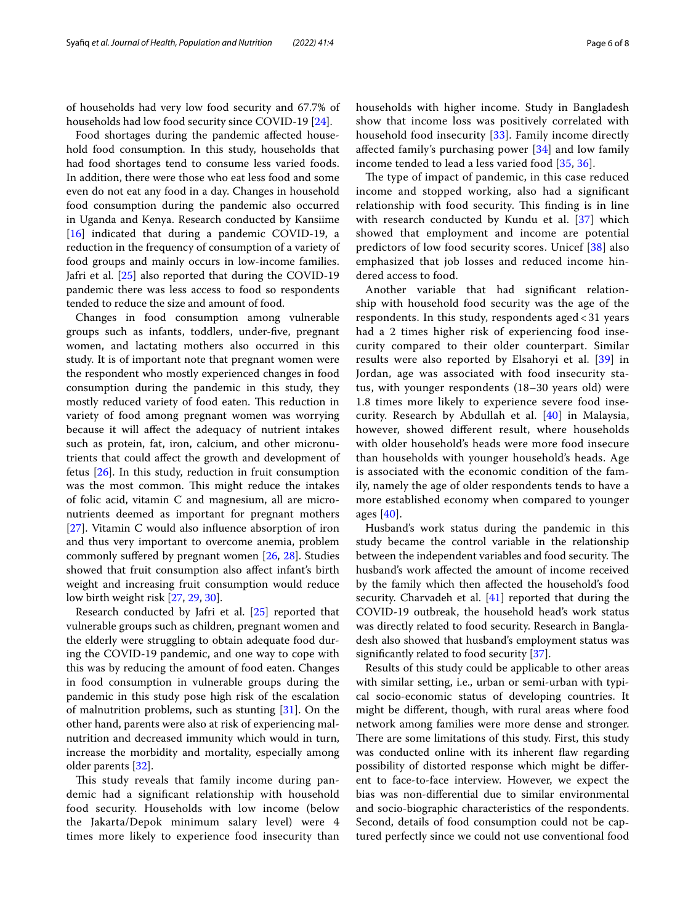of households had very low food security and 67.7% of households had low food security since COVID-19 [\[24](#page-7-8)].

Food shortages during the pandemic afected household food consumption. In this study, households that had food shortages tend to consume less varied foods. In addition, there were those who eat less food and some even do not eat any food in a day. Changes in household food consumption during the pandemic also occurred in Uganda and Kenya. Research conducted by Kansiime [[16\]](#page-7-0) indicated that during a pandemic COVID-19, a reduction in the frequency of consumption of a variety of food groups and mainly occurs in low-income families. Jafri et al. [[25\]](#page-7-9) also reported that during the COVID-19 pandemic there was less access to food so respondents tended to reduce the size and amount of food.

Changes in food consumption among vulnerable groups such as infants, toddlers, under-fve, pregnant women, and lactating mothers also occurred in this study. It is of important note that pregnant women were the respondent who mostly experienced changes in food consumption during the pandemic in this study, they mostly reduced variety of food eaten. This reduction in variety of food among pregnant women was worrying because it will afect the adequacy of nutrient intakes such as protein, fat, iron, calcium, and other micronutrients that could afect the growth and development of fetus [\[26\]](#page-7-10). In this study, reduction in fruit consumption was the most common. This might reduce the intakes of folic acid, vitamin C and magnesium, all are micronutrients deemed as important for pregnant mothers [[27\]](#page-7-11). Vitamin C would also infuence absorption of iron and thus very important to overcome anemia, problem commonly sufered by pregnant women [[26](#page-7-10), [28](#page-7-12)]. Studies showed that fruit consumption also afect infant's birth weight and increasing fruit consumption would reduce low birth weight risk [\[27](#page-7-11), [29,](#page-7-13) [30](#page-7-14)].

Research conducted by Jafri et al. [\[25\]](#page-7-9) reported that vulnerable groups such as children, pregnant women and the elderly were struggling to obtain adequate food during the COVID-19 pandemic, and one way to cope with this was by reducing the amount of food eaten. Changes in food consumption in vulnerable groups during the pandemic in this study pose high risk of the escalation of malnutrition problems, such as stunting  $[31]$  $[31]$ . On the other hand, parents were also at risk of experiencing malnutrition and decreased immunity which would in turn, increase the morbidity and mortality, especially among older parents [\[32\]](#page-7-16).

This study reveals that family income during pandemic had a signifcant relationship with household food security. Households with low income (below the Jakarta/Depok minimum salary level) were 4 times more likely to experience food insecurity than households with higher income. Study in Bangladesh show that income loss was positively correlated with household food insecurity [\[33](#page-7-17)]. Family income directly afected family's purchasing power [[34](#page-7-18)] and low family income tended to lead a less varied food [[35](#page-7-19), [36](#page-7-20)].

The type of impact of pandemic, in this case reduced income and stopped working, also had a signifcant relationship with food security. This finding is in line with research conducted by Kundu et al. [\[37](#page-7-21)] which showed that employment and income are potential predictors of low food security scores. Unicef [[38\]](#page-7-22) also emphasized that job losses and reduced income hindered access to food.

Another variable that had signifcant relationship with household food security was the age of the respondents. In this study, respondents aged < 31 years had a 2 times higher risk of experiencing food insecurity compared to their older counterpart. Similar results were also reported by Elsahoryi et al. [\[39\]](#page-7-23) in Jordan, age was associated with food insecurity status, with younger respondents (18–30 years old) were 1.8 times more likely to experience severe food insecurity. Research by Abdullah et al. [[40\]](#page-7-24) in Malaysia, however, showed diferent result, where households with older household's heads were more food insecure than households with younger household's heads. Age is associated with the economic condition of the family, namely the age of older respondents tends to have a more established economy when compared to younger ages [[40\]](#page-7-24).

Husband's work status during the pandemic in this study became the control variable in the relationship between the independent variables and food security. The husband's work afected the amount of income received by the family which then afected the household's food security. Charvadeh et al. [[41\]](#page-7-25) reported that during the COVID-19 outbreak, the household head's work status was directly related to food security. Research in Bangladesh also showed that husband's employment status was signifcantly related to food security [\[37](#page-7-21)].

Results of this study could be applicable to other areas with similar setting, i.e., urban or semi-urban with typical socio-economic status of developing countries. It might be diferent, though, with rural areas where food network among families were more dense and stronger. There are some limitations of this study. First, this study was conducted online with its inherent flaw regarding possibility of distorted response which might be diferent to face-to-face interview. However, we expect the bias was non-diferential due to similar environmental and socio-biographic characteristics of the respondents. Second, details of food consumption could not be captured perfectly since we could not use conventional food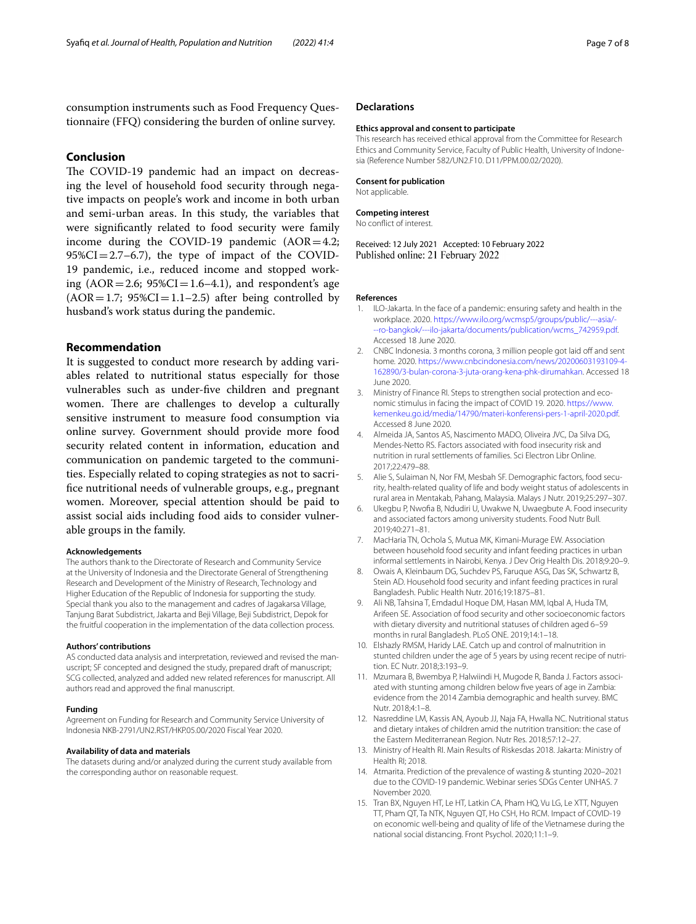consumption instruments such as Food Frequency Questionnaire (FFQ) considering the burden of online survey.

## **Conclusion**

The COVID-19 pandemic had an impact on decreasing the level of household food security through negative impacts on people's work and income in both urban and semi-urban areas. In this study, the variables that were signifcantly related to food security were family income during the COVID-19 pandemic  $(AOR=4.2;$  $95\%CI = 2.7$ –6.7), the type of impact of the COVID-19 pandemic, i.e., reduced income and stopped working  $(AOR = 2.6; 95\%CI = 1.6-4.1)$ , and respondent's age  $(AOR = 1.7; 95\% CI = 1.1 - 2.5)$  after being controlled by husband's work status during the pandemic.

#### **Recommendation**

It is suggested to conduct more research by adding variables related to nutritional status especially for those vulnerables such as under-fve children and pregnant women. There are challenges to develop a culturally sensitive instrument to measure food consumption via online survey. Government should provide more food security related content in information, education and communication on pandemic targeted to the communities. Especially related to coping strategies as not to sacrifce nutritional needs of vulnerable groups, e.g., pregnant women. Moreover, special attention should be paid to assist social aids including food aids to consider vulnerable groups in the family.

#### **Acknowledgements**

The authors thank to the Directorate of Research and Community Service at the University of Indonesia and the Directorate General of Strengthening Research and Development of the Ministry of Research, Technology and Higher Education of the Republic of Indonesia for supporting the study. Special thank you also to the management and cadres of Jagakarsa Village, Tanjung Barat Subdistrict, Jakarta and Beji Village, Beji Subdistrict, Depok for the fruitful cooperation in the implementation of the data collection process.

#### **Authors' contributions**

AS conducted data analysis and interpretation, reviewed and revised the manuscript; SF concepted and designed the study, prepared draft of manuscript; SCG collected, analyzed and added new related references for manuscript. All authors read and approved the fnal manuscript.

#### **Funding**

Agreement on Funding for Research and Community Service University of Indonesia NKB-2791/UN2.RST/HKP.05.00/2020 Fiscal Year 2020.

#### **Availability of data and materials**

The datasets during and/or analyzed during the current study available from the corresponding author on reasonable request.

#### **Ethics approval and consent to participate**

This research has received ethical approval from the Committee for Research Ethics and Community Service, Faculty of Public Health, University of Indonesia (Reference Number 582/UN2.F10. D11/PPM.00.02/2020).

#### **Consent for publication**

Not applicable.

**Competing interest**

No confict of interest.

Received: 12 July 2021 Accepted: 10 February 2022 Published online: 21 February 2022

#### **References**

- <span id="page-6-0"></span>1. ILO-Jakarta. In the face of a pandemic: ensuring safety and health in the workplace. 2020. [https://www.ilo.org/wcmsp5/groups/public/---asia/-](https://www.ilo.org/wcmsp5/groups/public/---asia/---ro-bangkok/---ilo-jakarta/documents/publication/wcms_742959.pdf) [--ro-bangkok/---ilo-jakarta/documents/publication/wcms\\_742959.pdf](https://www.ilo.org/wcmsp5/groups/public/---asia/---ro-bangkok/---ilo-jakarta/documents/publication/wcms_742959.pdf). Accessed 18 June 2020.
- <span id="page-6-1"></span>CNBC Indonesia. 3 months corona, 3 million people got laid off and sent home*.* 2020. [https://www.cnbcindonesia.com/news/20200603193109-4-](https://www.cnbcindonesia.com/news/20200603193109-4-162890/3-bulan-corona-3-juta-orang-kena-phk-dirumahkan) [162890/3-bulan-corona-3-juta-orang-kena-phk-dirumahkan.](https://www.cnbcindonesia.com/news/20200603193109-4-162890/3-bulan-corona-3-juta-orang-kena-phk-dirumahkan) Accessed 18 June 2020.
- <span id="page-6-2"></span>3. Ministry of Finance RI. Steps to strengthen social protection and economic stimulus in facing the impact of COVID 19*.* 2020. [https://www.](https://www.kemenkeu.go.id/media/14790/materi-konferensi-pers-1-april-2020.pdf) [kemenkeu.go.id/media/14790/materi-konferensi-pers-1-april-2020.pdf](https://www.kemenkeu.go.id/media/14790/materi-konferensi-pers-1-april-2020.pdf). Accessed 8 June 2020.
- <span id="page-6-3"></span>4. Almeida JA, Santos AS, Nascimento MADO, Oliveira JVC, Da Silva DG, Mendes-Netto RS. Factors associated with food insecurity risk and nutrition in rural settlements of families. Sci Electron Libr Online. 2017;22:479–88.
- 5. Alie S, Sulaiman N, Nor FM, Mesbah SF. Demographic factors, food security, health-related quality of life and body weight status of adolescents in rural area in Mentakab, Pahang, Malaysia. Malays J Nutr. 2019;25:297–307.
- <span id="page-6-4"></span>6. Ukegbu P, Nwofa B, Ndudiri U, Uwakwe N, Uwaegbute A. Food insecurity and associated factors among university students. Food Nutr Bull. 2019;40:271–81.
- <span id="page-6-5"></span>7. MacHaria TN, Ochola S, Mutua MK, Kimani-Murage EW. Association between household food security and infant feeding practices in urban informal settlements in Nairobi, Kenya. J Dev Orig Health Dis. 2018;9:20–9.
- Owais A, Kleinbaum DG, Suchdev PS, Faruque ASG, Das SK, Schwartz B, Stein AD. Household food security and infant feeding practices in rural Bangladesh. Public Health Nutr. 2016;19:1875–81.
- <span id="page-6-6"></span>Ali NB, Tahsina T, Emdadul Hoque DM, Hasan MM, Iqbal A, Huda TM, Arifeen SE. Association of food security and other socioeconomic factors with dietary diversity and nutritional statuses of children aged 6–59 months in rural Bangladesh. PLoS ONE. 2019;14:1–18.
- <span id="page-6-7"></span>10. Elshazly RMSM, Haridy LAE. Catch up and control of malnutrition in stunted children under the age of 5 years by using recent recipe of nutrition. EC Nutr. 2018;3:193–9.
- 11. Mzumara B, Bwembya P, Halwiindi H, Mugode R, Banda J. Factors associated with stunting among children below fve years of age in Zambia: evidence from the 2014 Zambia demographic and health survey. BMC Nutr. 2018;4:1–8.
- <span id="page-6-8"></span>12. Nasreddine LM, Kassis AN, Ayoub JJ, Naja FA, Hwalla NC. Nutritional status and dietary intakes of children amid the nutrition transition: the case of the Eastern Mediterranean Region. Nutr Res. 2018;57:12–27.
- <span id="page-6-9"></span>13. Ministry of Health RI. Main Results of Riskesdas 2018. Jakarta: Ministry of Health RI; 2018.
- <span id="page-6-10"></span>14. Atmarita. Prediction of the prevalence of wasting & stunting 2020–2021 due to the COVID-19 pandemic. Webinar series SDGs Center UNHAS. 7 November 2020.
- <span id="page-6-11"></span>15. Tran BX, Nguyen HT, Le HT, Latkin CA, Pham HQ, Vu LG, Le XTT, Nguyen TT, Pham QT, Ta NTK, Nguyen QT, Ho CSH, Ho RCM. Impact of COVID-19 on economic well-being and quality of life of the Vietnamese during the national social distancing. Front Psychol. 2020;11:1–9.